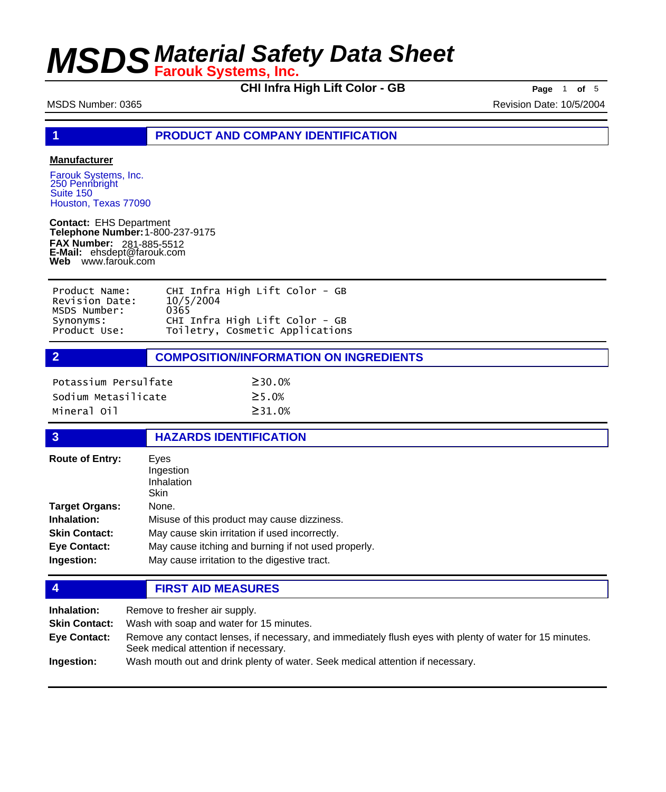**CHI Infra High Lift Color - GB Page** <sup>1</sup> **of** <sup>5</sup>

MSDS Number: 0365 Revision Date: 10/5/2004

**1 PRODUCT AND COMPANY IDENTIFICATION**

## **Manufacturer**

Farouk Systems, Inc. 250 Pennbright Suite 150 Houston, Texas 77090

**Contact:** EHS Department **Telephone Number:** 1-800-237-9175 **FAX Number: FAX Number:** 281-885-5512<br>**E-Mail:** ehsdept@farouk.com **Web** www.farouk.com

| Product Name:  | CHI Infra High Lift Color - GB  |
|----------------|---------------------------------|
| Revision Date: | 10/5/2004                       |
| MSDS Number:   | 0365                            |
| Synonyms:      | CHI Infra High Lift Color - GB  |
| Product Use:   | Toiletry, Cosmetic Applications |

**2 COMPOSITION/INFORMATION ON INGREDIENTS**

| Potassium Persulfate | $\geq$ 30.0%  |
|----------------------|---------------|
| Sodium Metasilicate  | $\geq$ 5 . 0% |
| Mineral Oil          | $\geq$ 31.0%  |

### **3 HAZARDS IDENTIFICATION**

| <b>Route of Entry:</b> | Eves<br>Ingestion<br>Inhalation<br>Skin             |
|------------------------|-----------------------------------------------------|
| <b>Target Organs:</b>  | None.                                               |
| Inhalation:            | Misuse of this product may cause dizziness.         |
| <b>Skin Contact:</b>   | May cause skin irritation if used incorrectly.      |
| <b>Eye Contact:</b>    | May cause itching and burning if not used properly. |
| Ingestion:             | May cause irritation to the digestive tract.        |

**4 FIRST AID MEASURES**

| Inhalation:          | Remove to fresher air supply.                                                                                                                    |
|----------------------|--------------------------------------------------------------------------------------------------------------------------------------------------|
| <b>Skin Contact:</b> | Wash with soap and water for 15 minutes.                                                                                                         |
| Eye Contact:         | Remove any contact lenses, if necessary, and immediately flush eyes with plenty of water for 15 minutes.<br>Seek medical attention if necessary. |
| Ingestion:           | Wash mouth out and drink plenty of water. Seek medical attention if necessary.                                                                   |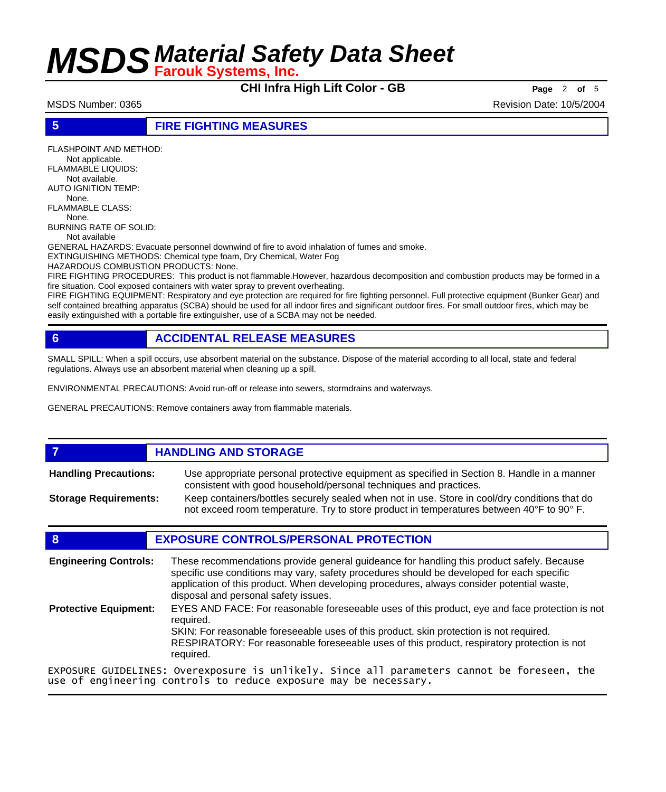**CHI Infra High Lift Color - GB Page** <sup>2</sup> **of** <sup>5</sup>

MSDS Number: 0365 Revision Date: 10/5/2004

## **5 FIRE FIGHTING MEASURES**

FLASHPOINT AND METHOD: Not applicable. FLAMMABLE LIQUIDS: Not available. AUTO IGNITION TEMP: None. FLAMMABLE CLASS: None. BURNING RATE OF SOLID: Not available GENERAL HAZARDS: Evacuate personnel downwind of fire to avoid inhalation of fumes and smoke. EXTINGUISHING METHODS: Chemical type foam, Dry Chemical, Water Fog HAZARDOUS COMBUSTION PRODUCTS: None. FIRE FIGHTING PROCEDURES: This product is not flammable.However, hazardous decomposition and combustion products may be formed in a fire situation. Cool exposed containers with water spray to prevent overheating.

FIRE FIGHTING EQUIPMENT: Respiratory and eye protection are required for fire fighting personnel. Full protective equipment (Bunker Gear) and self contained breathing apparatus (SCBA) should be used for all indoor fires and significant outdoor fires. For small outdoor fires, which may be easily extinguished with a portable fire extinguisher, use of a SCBA may not be needed.

## **6 ACCIDENTAL RELEASE MEASURES**

SMALL SPILL: When a spill occurs, use absorbent material on the substance. Dispose of the material according to all local, state and federal regulations. Always use an absorbent material when cleaning up a spill.

ENVIRONMENTAL PRECAUTIONS: Avoid run-off or release into sewers, stormdrains and waterways.

GENERAL PRECAUTIONS: Remove containers away from flammable materials.

### **7 HANDLING AND STORAGE** Use appropriate personal protective equipment as specified in Section 8. Handle in a manner consistent with good household/personal techniques and practices. **Handling Precautions:** Keep containers/bottles securely sealed when not in use. Store in cool/dry conditions that do not exceed room temperature. Try to store product in temperatures between 40°F to 90° F. **Storage Requirements:**

## **8 EXPOSURE CONTROLS/PERSONAL PROTECTION**

These recommendations provide general guideance for handling this product safely. Because specific use conditions may vary, safety procedures should be developed for each specific application of this product. When developing procedures, always consider potential waste, disposal and personal safety issues. **Engineering Controls:** EYES AND FACE: For reasonable foreseeable uses of this product, eye and face protection is not required. SKIN: For reasonable foreseeable uses of this product, skin protection is not required. RESPIRATORY: For reasonable foreseeable uses of this product, respiratory protection is not required. **Protective Equipment:** EXPOSURE GUIDELINES: Overexposure is unlikely. Since all parameters cannot be foreseen, the use of engineering controls to reduce exposure may be necessary.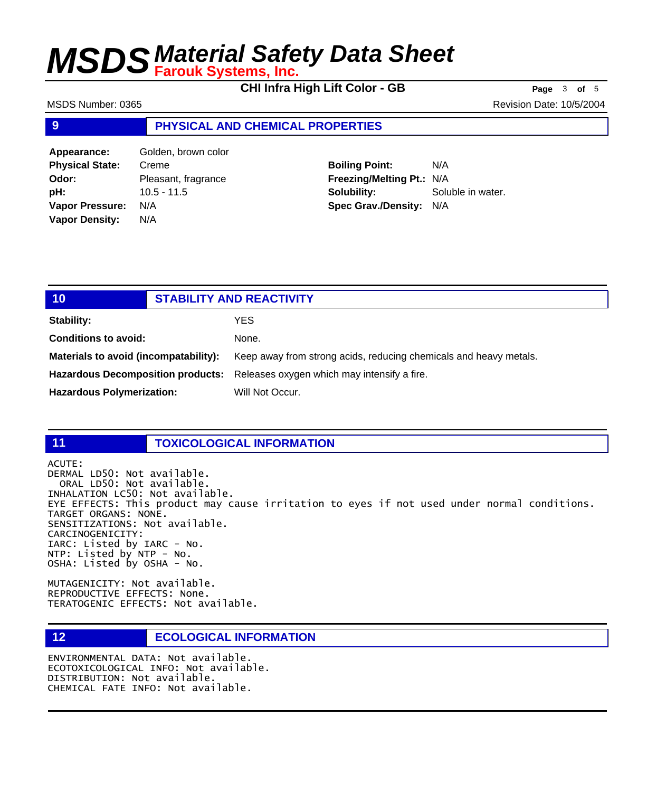**CHI Infra High Lift Color - GB Page** <sup>3</sup> **of** <sup>5</sup>

MSDS Number: 0365 Revision Date: 10/5/2004

## **9 PHYSICAL AND CHEMICAL PROPERTIES**

**Appearance:** Golden, brown color **Physical State:** Creme **Odor:** Pleasant, fragrance **pH:** 10.5 - 11.5 **Vapor Pressure:** N/A **Vapor Density:** N/A

**Boiling Point:** N/A **Freezing/Melting Pt.:** N/A **Solubility:** Soluble in water. **Spec Grav./Density:** N/A

| 10                                    | <b>STABILITY AND REACTIVITY</b>                                               |
|---------------------------------------|-------------------------------------------------------------------------------|
| Stability:                            | YES.                                                                          |
| <b>Conditions to avoid:</b>           | None.                                                                         |
| Materials to avoid (incompatability): | Keep away from strong acids, reducing chemicals and heavy metals.             |
|                                       | Hazardous Decomposition products: Releases oxygen which may intensify a fire. |
| <b>Hazardous Polymerization:</b>      | Will Not Occur.                                                               |

## **11 TOXICOLOGICAL INFORMATION**

ACUTE: DERMAL LD50: Not available. ORAL LD50: Not available. INHALATION LC50: Not available. EYE EFFECTS: This product may cause irritation to eyes if not used under normal conditions. TARGET ORGANS: NONE. SENSITIZATIONS: Not available. CARCINOGENICITY: IARC: Listed by IARC - No. NTP: Listed by NTP - No. OSHA: Listed by OSHA - No.

MUTAGENICITY: Not available. REPRODUCTIVE EFFECTS: None. TERATOGENIC EFFECTS: Not available.

## **12 ECOLOGICAL INFORMATION**

ENVIRONMENTAL DATA: Not available. ECOTOXICOLOGICAL INFO: Not available. DISTRIBUTION: Not available. CHEMICAL FATE INFO: Not available.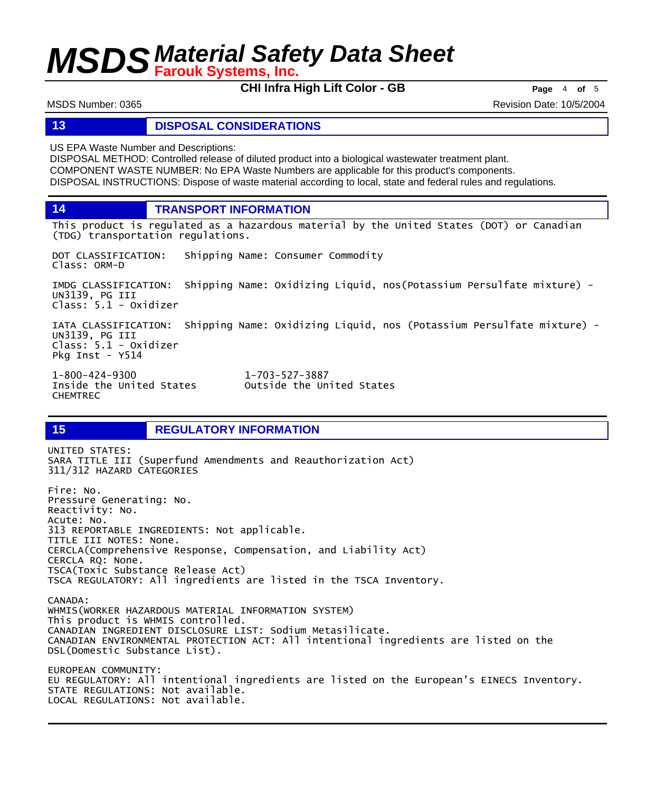**CHI Infra High Lift Color - GB Page** <sup>4</sup> **of** <sup>5</sup>

MSDS Number: 0365 Revision Date: 10/5/2004

## **13 DISPOSAL CONSIDERATIONS**

US EPA Waste Number and Descriptions:

DISPOSAL METHOD: Controlled release of diluted product into a biological wastewater treatment plant. COMPONENT WASTE NUMBER: No EPA Waste Numbers are applicable for this product's components. DISPOSAL INSTRUCTIONS: Dispose of waste material according to local, state and federal rules and regulations.

**14 TRANSPORT INFORMATION**

This product is regulated as a hazardous material by the United States (DOT) or Canadian (TDG) transportation regulations.

DOT CLASSIFICATION: Shipping Name: Consumer Commodity Class: ORM-D

IMDG CLASSIFICATION: Shipping Name: Oxidizing Liquid, nos(Potassium Persulfate mixture) - UN3139, PG III Class: 5.1 - Oxidizer

IATA CLASSIFICATION: Shipping Name: Oxidizing Liquid, nos (Potassium Persulfate mixture) - UN3139, PG III Class: 5.1 - Oxidizer Pkg Inst - Y514

1-800-424-9300 1-703-527-3887 CHEMTREC

Outside the United States

## **15 REGULATORY INFORMATION**

UNITED STATES: SARA TITLE III (Superfund Amendments and Reauthorization Act) 311/312 HAZARD CATEGORIES Fire: No. Pressure Generating: No. Reactivity: No. Acute: No. 313 REPORTABLE INGREDIENTS: Not applicable. TITLE III NOTES: None. CERCLA(Comprehensive Response, Compensation, and Liability Act) CERCLA RQ: None. TSCA(Toxic Substance Release Act) TSCA REGULATORY: All ingredients are listed in the TSCA Inventory. CANADA: WHMIS(WORKER HAZARDOUS MATERIAL INFORMATION SYSTEM) This product is WHMIS controlled. CANADIAN INGREDIENT DISCLOSURE LIST: Sodium Metasilicate. CANADIAN ENVIRONMENTAL PROTECTION ACT: All intentional ingredients are listed on the DSL(Domestic Substance List). EUROPEAN COMMUNITY: EU REGULATORY: All intentional ingredients are listed on the European's EINECS Inventory. STATE REGULATIONS: Not available. LOCAL REGULATIONS: Not available.